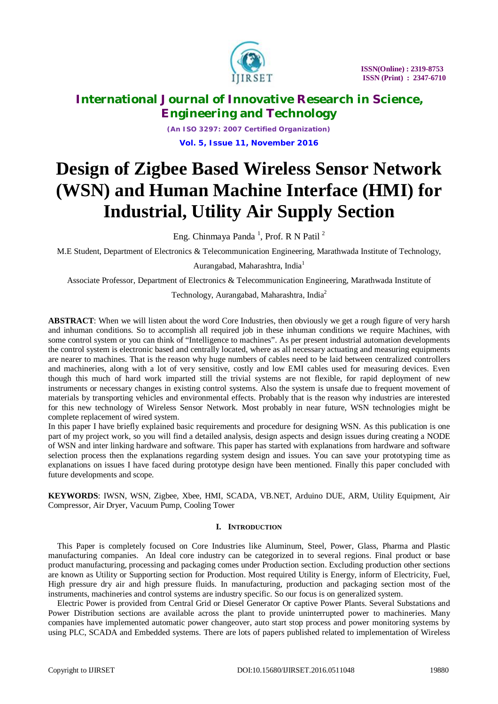

*(An ISO 3297: 2007 Certified Organization)* **Vol. 5, Issue 11, November 2016**

# **Design of Zigbee Based Wireless Sensor Network (WSN) and Human Machine Interface (HMI) for Industrial, Utility Air Supply Section**

Eng. Chinmaya Panda<sup>1</sup>, Prof. R N Patil<sup>2</sup>

M.E Student, Department of Electronics & Telecommunication Engineering, Marathwada Institute of Technology,

Aurangabad, Maharashtra, India<sup>1</sup>

Associate Professor, Department of Electronics & Telecommunication Engineering, Marathwada Institute of

Technology, Aurangabad, Maharashtra, India<sup>2</sup>

**ABSTRACT**: When we will listen about the word Core Industries, then obviously we get a rough figure of very harsh and inhuman conditions. So to accomplish all required job in these inhuman conditions we require Machines, with some control system or you can think of "Intelligence to machines". As per present industrial automation developments the control system is electronic based and centrally located, where as all necessary actuating and measuring equipments are nearer to machines. That is the reason why huge numbers of cables need to be laid between centralized controllers and machineries, along with a lot of very sensitive, costly and low EMI cables used for measuring devices. Even though this much of hard work imparted still the trivial systems are not flexible, for rapid deployment of new instruments or necessary changes in existing control systems. Also the system is unsafe due to frequent movement of materials by transporting vehicles and environmental effects. Probably that is the reason why industries are interested for this new technology of Wireless Sensor Network. Most probably in near future, WSN technologies might be complete replacement of wired system.

In this paper I have briefly explained basic requirements and procedure for designing WSN. As this publication is one part of my project work, so you will find a detailed analysis, design aspects and design issues during creating a NODE of WSN and inter linking hardware and software. This paper has started with explanations from hardware and software selection process then the explanations regarding system design and issues. You can save your prototyping time as explanations on issues I have faced during prototype design have been mentioned. Finally this paper concluded with future developments and scope.

**KEYWORDS**: IWSN, WSN, Zigbee, Xbee, HMI, SCADA, VB.NET, Arduino DUE, ARM, Utility Equipment, Air Compressor, Air Dryer, Vacuum Pump, Cooling Tower

# **I. INTRODUCTION**

This Paper is completely focused on Core Industries like Aluminum, Steel, Power, Glass, Pharma and Plastic manufacturing companies. An Ideal core industry can be categorized in to several regions. Final product or base product manufacturing, processing and packaging comes under Production section. Excluding production other sections are known as Utility or Supporting section for Production. Most required Utility is Energy, inform of Electricity, Fuel, High pressure dry air and high pressure fluids. In manufacturing, production and packaging section most of the instruments, machineries and control systems are industry specific. So our focus is on generalized system.

Electric Power is provided from Central Grid or Diesel Generator Or captive Power Plants. Several Substations and Power Distribution sections are available across the plant to provide uninterrupted power to machineries. Many companies have implemented automatic power changeover, auto start stop process and power monitoring systems by using PLC, SCADA and Embedded systems. There are lots of papers published related to implementation of Wireless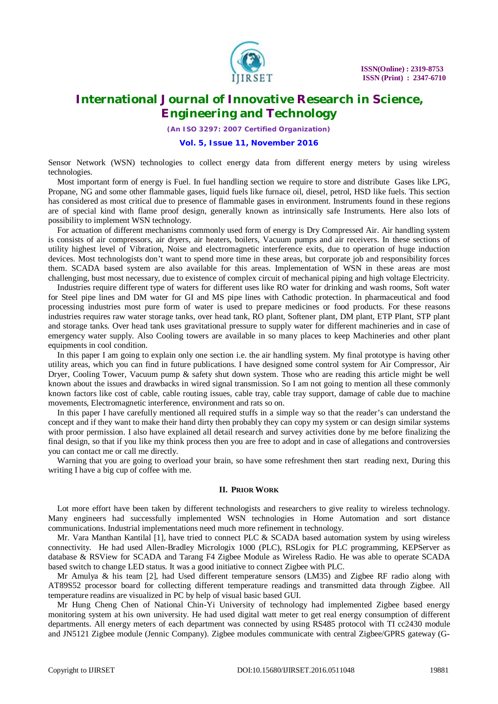

*(An ISO 3297: 2007 Certified Organization)*

## **Vol. 5, Issue 11, November 2016**

Sensor Network (WSN) technologies to collect energy data from different energy meters by using wireless technologies.

Most important form of energy is Fuel. In fuel handling section we require to store and distribute Gases like LPG, Propane, NG and some other flammable gases, liquid fuels like furnace oil, diesel, petrol, HSD like fuels. This section has considered as most critical due to presence of flammable gases in environment. Instruments found in these regions are of special kind with flame proof design, generally known as intrinsically safe Instruments. Here also lots of possibility to implement WSN technology.

For actuation of different mechanisms commonly used form of energy is Dry Compressed Air. Air handling system is consists of air compressors, air dryers, air heaters, boilers, Vacuum pumps and air receivers. In these sections of utility highest level of Vibration, Noise and electromagnetic interference exits, due to operation of huge induction devices. Most technologists don't want to spend more time in these areas, but corporate job and responsibility forces them. SCADA based system are also available for this areas. Implementation of WSN in these areas are most challenging, bust most necessary, due to existence of complex circuit of mechanical piping and high voltage Electricity.

Industries require different type of waters for different uses like RO water for drinking and wash rooms, Soft water for Steel pipe lines and DM water for GI and MS pipe lines with Cathodic protection. In pharmaceutical and food processing industries most pure form of water is used to prepare medicines or food products. For these reasons industries requires raw water storage tanks, over head tank, RO plant, Softener plant, DM plant, ETP Plant, STP plant and storage tanks. Over head tank uses gravitational pressure to supply water for different machineries and in case of emergency water supply. Also Cooling towers are available in so many places to keep Machineries and other plant equipments in cool condition.

In this paper I am going to explain only one section i.e. the air handling system. My final prototype is having other utility areas, which you can find in future publications. I have designed some control system for Air Compressor, Air Dryer, Cooling Tower, Vacuum pump & safety shut down system. Those who are reading this article might be well known about the issues and drawbacks in wired signal transmission. So I am not going to mention all these commonly known factors like cost of cable, cable routing issues, cable tray, cable tray support, damage of cable due to machine movements, Electromagnetic interference, environment and rats so on.

In this paper I have carefully mentioned all required stuffs in a simple way so that the reader's can understand the concept and if they want to make their hand dirty then probably they can copy my system or can design similar systems with proor permission. I also have explained all detail research and survey activities done by me before finalizing the final design, so that if you like my think process then you are free to adopt and in case of allegations and controversies you can contact me or call me directly.

Warning that you are going to overload your brain, so have some refreshment then start reading next, During this writing I have a big cup of coffee with me.

### **II. PRIOR WORK**

Lot more effort have been taken by different technologists and researchers to give reality to wireless technology. Many engineers had successfully implemented WSN technologies in Home Automation and sort distance communications. Industrial implementations need much more refinement in technology.

Mr. Vara Manthan Kantilal [1], have tried to connect PLC & SCADA based automation system by using wireless connectivity. He had used Allen-Bradley Micrologix 1000 (PLC), RSLogix for PLC programming, KEPServer as database & RSView for SCADA and Tarang F4 Zigbee Module as Wireless Radio. He was able to operate SCADA based switch to change LED status. It was a good initiative to connect Zigbee with PLC.

Mr Amulya & his team [2], had Used different temperature sensors (LM35) and Zigbee RF radio along with AT89S52 processor board for collecting different temperature readings and transmitted data through Zigbee. All temperature readins are visualized in PC by help of visual basic based GUI.

Mr Hung Cheng Chen of National Chin-Yi University of technology had implemented Zigbee based energy monitoring system at his own university. He had used digital watt meter to get real energy consumption of different departments. All energy meters of each department was connected by using RS485 protocol with TI cc2430 module and JN5121 Zigbee module (Jennic Company). Zigbee modules communicate with central Zigbee/GPRS gateway (G-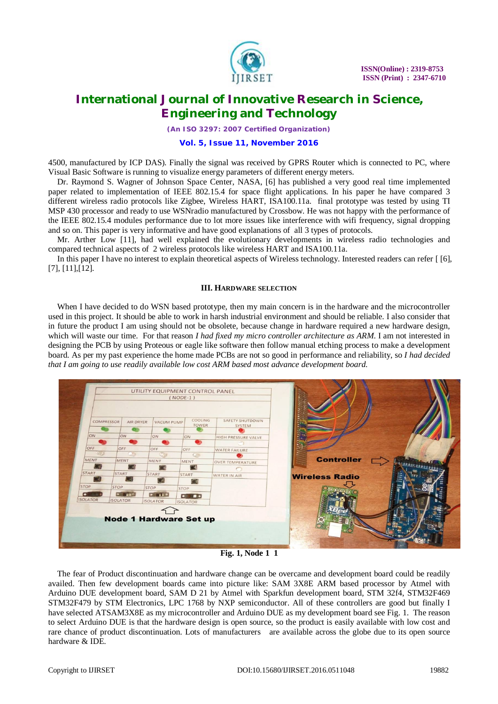

*(An ISO 3297: 2007 Certified Organization)*

# **Vol. 5, Issue 11, November 2016**

4500, manufactured by ICP DAS). Finally the signal was received by GPRS Router which is connected to PC, where Visual Basic Software is running to visualize energy parameters of different energy meters.

Dr. Raymond S. Wagner of Johnson Space Center, NASA, [6] has published a very good real time implemented paper related to implementation of IEEE 802.15.4 for space flight applications. In his paper he have compared 3 different wireless radio protocols like Zigbee, Wireless HART, ISA100.11a. final prototype was tested by using TI MSP 430 processor and ready to use WSNradio manufactured by Crossbow. He was not happy with the performance of the IEEE 802.15.4 modules performance due to lot more issues like interference with wifi frequency, signal dropping and so on. This paper is very informative and have good explanations of all 3 types of protocols.

Mr. Arther Low [11], had well explained the evolutionary developments in wireless radio technologies and compared technical aspects of 2 wireless protocols like wireless HART and ISA100.11a.

In this paper I have no interest to explain theoretical aspects of Wireless technology. Interested readers can refer [ [6], [7], [11],[12].

### **III. HARDWARE SELECTION**

When I have decided to do WSN based prototype, then my main concern is in the hardware and the microcontroller used in this project. It should be able to work in harsh industrial environment and should be reliable. I also consider that in future the product I am using should not be obsolete, because change in hardware required a new hardware design, which will waste our time. For that reason *I had fixed my micro controller architecture as ARM*. I am not interested in designing the PCB by using Proteous or eagle like software then follow manual etching process to make a development board. As per my past experience the home made PCBs are not so good in performance and reliability, so *I had decided that I am going to use readily available low cost ARM based most advance development board*.



**Fig. 1, Node 1 1**

The fear of Product discontinuation and hardware change can be overcame and development board could be readily availed. Then few development boards came into picture like: SAM 3X8E ARM based processor by Atmel with Arduino DUE development board, SAM D 21 by Atmel with Sparkfun development board, STM 32f4, STM32F469 STM32F479 by STM Electronics, LPC 1768 by NXP semiconductor. All of these controllers are good but finally I have selected ATSAM3X8E as my microcontroller and Arduino DUE as my development board see Fig. 1. The reason to select Arduino DUE is that the hardware design is open source, so the product is easily available with low cost and rare chance of product discontinuation. Lots of manufacturers are available across the globe due to its open source hardware & IDE.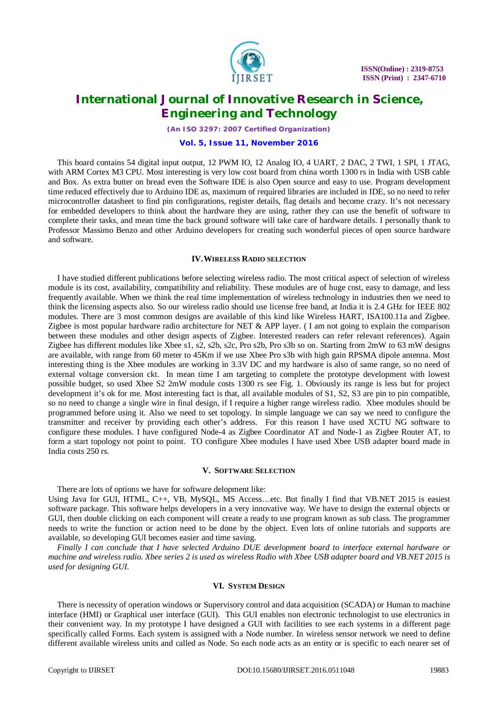

*(An ISO 3297: 2007 Certified Organization)*

### **Vol. 5, Issue 11, November 2016**

This board contains 54 digital input output, 12 PWM IO, 12 Analog IO, 4 UART, 2 DAC, 2 TWI, 1 SPI, 1 JTAG, with ARM Cortex M3 CPU. Most interesting is very low cost board from china worth 1300 rs in India with USB cable and Box. As extra butter on bread even the Software IDE is also Open source and easy to use. Program development time reduced effectively due to Arduino IDE as, maximum of required libraries are included in IDE, so no need to refer microcontroller datasheet to find pin configurations, register details, flag details and become crazy. It's not necessary for embedded developers to think about the hardware they are using, rather they can use the benefit of software to complete their tasks, and mean time the back ground software will take care of hardware details. I personally thank to Professor Massimo Benzo and other Arduino developers for creating such wonderful pieces of open source hardware and software.

### **IV.WIRELESS RADIO SELECTION**

I have studied different publications before selecting wireless radio. The most critical aspect of selection of wireless module is its cost, availability, compatibility and reliability. These modules are of huge cost, easy to damage, and less frequently available. When we think the real time implementation of wireless technology in industries then we need to think the licensing aspects also. So our wireless radio should use license free band, at India it is 2.4 GHz for IEEE 802 modules. There are 3 most common designs are available of this kind like Wireless HART, ISA100.11a and Zigbee. Zigbee is most popular hardware radio architecture for NET  $\&$  APP layer. (I am not going to explain the comparison between these modules and other design aspects of Zigbee. Interested readers can refer relevant references). Again Zigbee has different modules like Xbee s1, s2, s2b, s2c, Pro s2b, Pro s3b so on. Starting from 2mW to 63 mW designs are available, with range from 60 meter to 45Km if we use Xbee Pro s3b with high gain RPSMA dipole antenna. Most interesting thing is the Xbee modules are working in 3.3V DC and my hardware is also of same range, so no need of external voltage conversion ckt. In mean time I am targeting to complete the prototype development with lowest possible budget, so used Xbee S2 2mW module costs 1300 rs see Fig. 1. Obviously its range is less but for project development it's ok for me. Most interesting fact is that, all available modules of S1, S2, S3 are pin to pin compatible, so no need to change a single wire in final design, if I require a higher range wireless radio. Xbee modules should be programmed before using it. Also we need to set topology. In simple language we can say we need to configure the transmitter and receiver by providing each other's address. For this reason I have used XCTU NG software to configure these modules. I have configured Node-4 as Zigbee Coordinator AT and Node-1 as Zigbee Router AT, to form a start topology not point to point. TO configure Xbee modules I have used Xbee USB adapter board made in India costs 250 rs.

## **V. SOFTWARE SELECTION**

There are lots of options we have for software delopment like: Using Java for GUI, HTML, C++, VB, MySQL, MS Access…etc. But finally I find that VB.NET 2015 is easiest software package. This software helps developers in a very innovative way. We have to design the external objects or GUI, then double clicking on each component will create a ready to use program known as sub class. The programmer needs to write the function or action need to be done by the object. Even lots of online tutorials and supports are available, so developing GUI becomes easier and time saving.

*Finally I can conclude that I have selected Arduino DUE development board to interface external hardware or machine and wireless radio. Xbee series 2 is used as wireless Radio with Xbee USB adapter board and VB.NET 2015 is used for designing GUI.* 

#### **VI. SYSTEM DESIGN**

There is necessity of operation windows or Supervisory control and data acquisition (SCADA) or Human to machine interface (HMI) or Graphical user interface (GUI). This GUI enables non electronic technologist to use electronics in their convenient way. In my prototype I have designed a GUI with facilities to see each systems in a different page specifically called Forms. Each system is assigned with a Node number. In wireless sensor network we need to define different available wireless units and called as Node. So each node acts as an entity or is specific to each nearer set of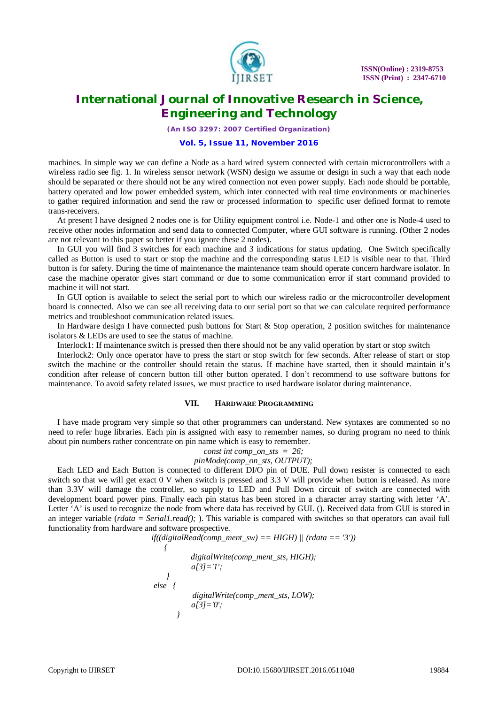

*(An ISO 3297: 2007 Certified Organization)*

# **Vol. 5, Issue 11, November 2016**

machines. In simple way we can define a Node as a hard wired system connected with certain microcontrollers with a wireless radio see fig. 1. In wireless sensor network (WSN) design we assume or design in such a way that each node should be separated or there should not be any wired connection not even power supply. Each node should be portable, battery operated and low power embedded system, which inter connected with real time environments or machineries to gather required information and send the raw or processed information to specific user defined format to remote trans-receivers.

At present I have designed 2 nodes one is for Utility equipment control i.e. Node-1 and other one is Node-4 used to receive other nodes information and send data to connected Computer, where GUI software is running. (Other 2 nodes are not relevant to this paper so better if you ignore these 2 nodes).

In GUI you will find 3 switches for each machine and 3 indications for status updating. One Switch specifically called as Button is used to start or stop the machine and the corresponding status LED is visible near to that. Third button is for safety. During the time of maintenance the maintenance team should operate concern hardware isolator. In case the machine operator gives start command or due to some communication error if start command provided to machine it will not start.

In GUI option is available to select the serial port to which our wireless radio or the microcontroller development board is connected. Also we can see all receiving data to our serial port so that we can calculate required performance metrics and troubleshoot communication related issues.

In Hardware design I have connected push buttons for Start & Stop operation, 2 position switches for maintenance isolators & LEDs are used to see the status of machine.

Interlock1: If maintenance switch is pressed then there should not be any valid operation by start or stop switch

Interlock2: Only once operator have to press the start or stop switch for few seconds. After release of start or stop switch the machine or the controller should retain the status. If machine have started, then it should maintain it's condition after release of concern button till other button operated. I don't recommend to use software buttons for maintenance. To avoid safety related issues, we must practice to used hardware isolator during maintenance.

#### **VII. HARDWARE PROGRAMMING**

I have made program very simple so that other programmers can understand. New syntaxes are commented so no need to refer huge libraries. Each pin is assigned with easy to remember names, so during program no need to think about pin numbers rather concentrate on pin name which is easy to remember.

*const int comp\_on\_sts = 26;*

*pinMode(comp\_on\_sts, OUTPUT);*

Each LED and Each Button is connected to different DI/O pin of DUE. Pull down resister is connected to each switch so that we will get exact 0 V when switch is pressed and 3.3 V will provide when button is released. As more than 3.3V will damage the controller, so supply to LED and Pull Down circuit of switch are connected with development board power pins. Finally each pin status has been stored in a character array starting with letter 'A'. Letter 'A' is used to recognize the node from where data has received by GUI. (). Received data from GUI is stored in an integer variable (*rdata = Serial1.read();* ). This variable is compared with switches so that operators can avail full functionality from hardware and software prospective.

$$
if((digitalRead(comp\_ment\_sw) == HIGH) || (rdata == '3'))
$$
\n
$$
\{
$$
\n
$$
digitalWrite(comp\_ment\_sts, HIGH);
$$
\n
$$
a[3] = 'I';
$$
\n
$$
else \{
$$
\n
$$
digitalWrite(comp\_ment\_sts, LOW);
$$
\n
$$
a[3] = '0';
$$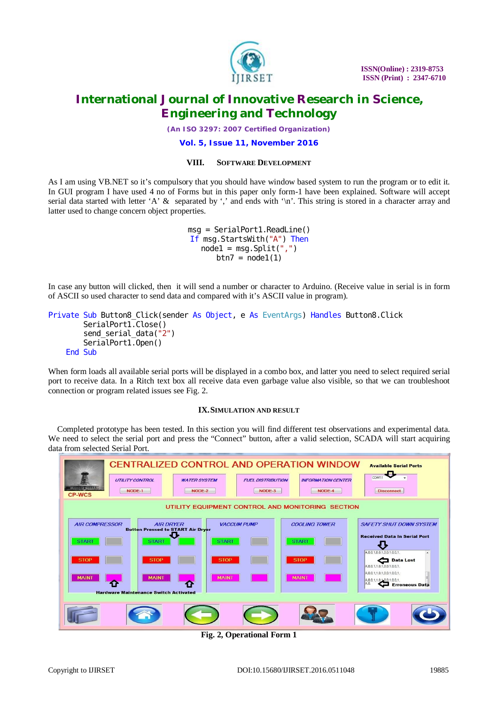

*(An ISO 3297: 2007 Certified Organization)*

**Vol. 5, Issue 11, November 2016**

# **VIII. SOFTWARE DEVELOPMENT**

As I am using VB.NET so it's compulsory that you should have window based system to run the program or to edit it. In GUI program I have used 4 no of Forms but in this paper only form-1 have been explained. Software will accept serial data started with letter 'A' & separated by ',' and ends with '\n'. This string is stored in a character array and latter used to change concern object properties.

> *msg = SerialPort1.ReadLine() If msg.StartsWith("A") Then node1 = msg.Split(",") btn7 = node1(1)*

In case any button will clicked, then it will send a number or character to Arduino. (Receive value in serial is in form of ASCII so used character to send data and compared with it's ASCII value in program).

|         | Private Sub Button8 Click(sender As Object, e As EventArgs) Handles Button8. Click |  |  |  |
|---------|------------------------------------------------------------------------------------|--|--|--|
|         | Seri al Port 1. Close ()                                                           |  |  |  |
|         | send_serial_data("2")                                                              |  |  |  |
|         | Serial Port1. Open()                                                               |  |  |  |
| End Sub |                                                                                    |  |  |  |

When form loads all available serial ports will be displayed in a combo box, and latter you need to select required serial port to receive data. In a Ritch text box all receive data even garbage value also visible, so that we can troubleshoot connection or program related issues see Fig. 2.

# **IX.SIMULATION AND RESULT**

Completed prototype has been tested. In this section you will find different test observations and experimental data. We need to select the serial port and press the "Connect" button, after a valid selection, SCADA will start acquiring data from selected Serial Port.



**Fig. 2, Operational Form 1**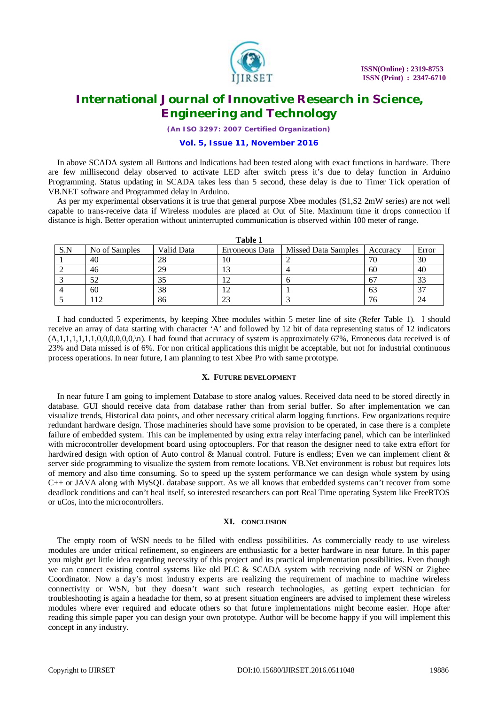

*(An ISO 3297: 2007 Certified Organization)*

# **Vol. 5, Issue 11, November 2016**

In above SCADA system all Buttons and Indications had been tested along with exact functions in hardware. There are few millisecond delay observed to activate LED after switch press it's due to delay function in Arduino Programming. Status updating in SCADA takes less than 5 second, these delay is due to Timer Tick operation of VB.NET software and Programmed delay in Arduino.

As per my experimental observations it is true that general purpose Xbee modules (S1,S2 2mW series) are not well capable to trans-receive data if Wireless modules are placed at Out of Site. Maximum time it drops connection if distance is high. Better operation without uninterrupted communication is observed within 100 meter of range.

**Table 1** 

| таріє т |               |            |                |                            |          |       |  |  |  |  |  |  |
|---------|---------------|------------|----------------|----------------------------|----------|-------|--|--|--|--|--|--|
| S.N     | No of Samples | Valid Data | Erroneous Data | <b>Missed Data Samples</b> | Accuracy | Error |  |  |  |  |  |  |
|         | 40            | 28         | I ()           |                            | 70       | 30    |  |  |  |  |  |  |
|         | 46            | 29         |                |                            | 60       | 40    |  |  |  |  |  |  |
|         | <ົ<br>ے ر     | 35         |                |                            |          | 33    |  |  |  |  |  |  |
|         | 60            | 38         |                |                            |          |       |  |  |  |  |  |  |
|         |               | 86         | $\cap$<br>23   |                            |          | 24    |  |  |  |  |  |  |

I had conducted 5 experiments, by keeping Xbee modules within 5 meter line of site (Refer Table 1). I should receive an array of data starting with character 'A' and followed by 12 bit of data representing status of 12 indicators (A,1,1,1,1,1,1,0,0,0,0,0,0,\n). I had found that accuracy of system is approximately 67%, Erroneous data received is of 23% and Data missed is of 6%. For non critical applications this might be acceptable, but not for industrial continuous process operations. In near future, I am planning to test Xbee Pro with same prototype.

### **X. FUTURE DEVELOPMENT**

In near future I am going to implement Database to store analog values. Received data need to be stored directly in database. GUI should receive data from database rather than from serial buffer. So after implementation we can visualize trends, Historical data points, and other necessary critical alarm logging functions. Few organizations require redundant hardware design. Those machineries should have some provision to be operated, in case there is a complete failure of embedded system. This can be implemented by using extra relay interfacing panel, which can be interlinked with microcontroller development board using optocouplers. For that reason the designer need to take extra effort for hardwired design with option of Auto control & Manual control. Future is endless; Even we can implement client & server side programming to visualize the system from remote locations. VB.Net environment is robust but requires lots of memory and also time consuming. So to speed up the system performance we can design whole system by using C++ or JAVA along with MySQL database support. As we all knows that embedded systems can't recover from some deadlock conditions and can't heal itself, so interested researchers can port Real Time operating System like FreeRTOS or uCos, into the microcontrollers.

# **XI. CONCLUSION**

The empty room of WSN needs to be filled with endless possibilities. As commercially ready to use wireless modules are under critical refinement, so engineers are enthusiastic for a better hardware in near future. In this paper you might get little idea regarding necessity of this project and its practical implementation possibilities. Even though we can connect existing control systems like old PLC & SCADA system with receiving node of WSN or Zigbee Coordinator. Now a day's most industry experts are realizing the requirement of machine to machine wireless connectivity or WSN, but they doesn't want such research technologies, as getting expert technician for troubleshooting is again a headache for them, so at present situation engineers are advised to implement these wireless modules where ever required and educate others so that future implementations might become easier. Hope after reading this simple paper you can design your own prototype. Author will be become happy if you will implement this concept in any industry.